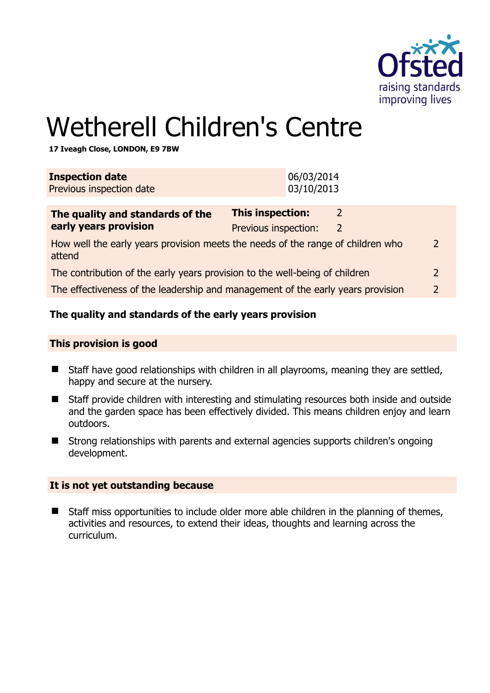

# Wetherell Children's Centre

**17 Iveagh Close, LONDON, E9 7BW** 

| <b>Inspection date</b><br>Previous inspection date                                                         | 06/03/2014<br>03/10/2013                                              |  |
|------------------------------------------------------------------------------------------------------------|-----------------------------------------------------------------------|--|
| The quality and standards of the<br>early years provision                                                  | <b>This inspection:</b><br>2<br>Previous inspection:<br>$\mathcal{L}$ |  |
| How well the early years provision meets the needs of the range of children who<br>$\mathcal{D}$<br>attend |                                                                       |  |
| The contribution of the early years provision to the well-being of children<br>$\mathcal{P}$               |                                                                       |  |
| The effectiveness of the leadership and management of the early years provision<br>$\mathcal{L}$           |                                                                       |  |
|                                                                                                            |                                                                       |  |

## **The quality and standards of the early years provision**

#### **This provision is good**

- Staff have good relationships with children in all playrooms, meaning they are settled, happy and secure at the nursery.
- Staff provide children with interesting and stimulating resources both inside and outside and the garden space has been effectively divided. This means children enjoy and learn outdoors.
- Strong relationships with parents and external agencies supports children's ongoing development.

#### **It is not yet outstanding because**

■ Staff miss opportunities to include older more able children in the planning of themes, activities and resources, to extend their ideas, thoughts and learning across the curriculum.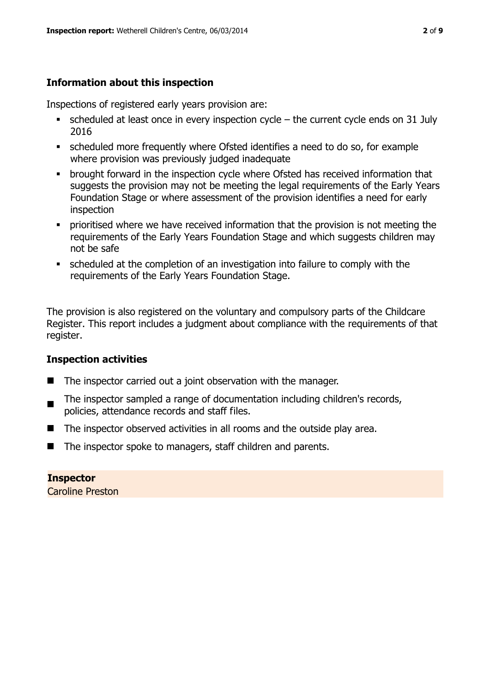## **Information about this inspection**

Inspections of registered early years provision are:

- $\bullet$  scheduled at least once in every inspection cycle the current cycle ends on 31 July 2016
- scheduled more frequently where Ofsted identifies a need to do so, for example where provision was previously judged inadequate
- **•** brought forward in the inspection cycle where Ofsted has received information that suggests the provision may not be meeting the legal requirements of the Early Years Foundation Stage or where assessment of the provision identifies a need for early inspection
- **•** prioritised where we have received information that the provision is not meeting the requirements of the Early Years Foundation Stage and which suggests children may not be safe
- scheduled at the completion of an investigation into failure to comply with the requirements of the Early Years Foundation Stage.

The provision is also registered on the voluntary and compulsory parts of the Childcare Register. This report includes a judgment about compliance with the requirements of that register.

## **Inspection activities**

- $\blacksquare$  The inspector carried out a joint observation with the manager.
- . The inspector sampled a range of documentation including children's records, policies, attendance records and staff files.
- The inspector observed activities in all rooms and the outside play area.
- The inspector spoke to managers, staff children and parents.

## **Inspector**

Caroline Preston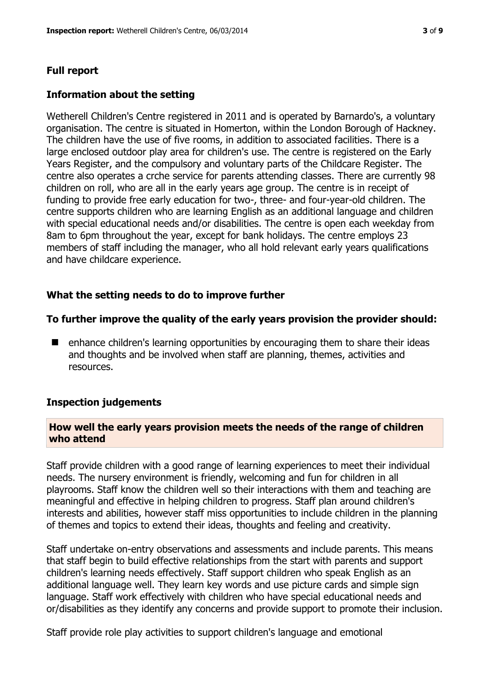#### **Full report**

#### **Information about the setting**

Wetherell Children's Centre registered in 2011 and is operated by Barnardo's, a voluntary organisation. The centre is situated in Homerton, within the London Borough of Hackney. The children have the use of five rooms, in addition to associated facilities. There is a large enclosed outdoor play area for children's use. The centre is registered on the Early Years Register, and the compulsory and voluntary parts of the Childcare Register. The centre also operates a crche service for parents attending classes. There are currently 98 children on roll, who are all in the early years age group. The centre is in receipt of funding to provide free early education for two-, three- and four-year-old children. The centre supports children who are learning English as an additional language and children with special educational needs and/or disabilities. The centre is open each weekday from 8am to 6pm throughout the year, except for bank holidays. The centre employs 23 members of staff including the manager, who all hold relevant early years qualifications and have childcare experience.

#### **What the setting needs to do to improve further**

#### **To further improve the quality of the early years provision the provider should:**

■ enhance children's learning opportunities by encouraging them to share their ideas and thoughts and be involved when staff are planning, themes, activities and resources.

#### **Inspection judgements**

#### **How well the early years provision meets the needs of the range of children who attend**

Staff provide children with a good range of learning experiences to meet their individual needs. The nursery environment is friendly, welcoming and fun for children in all playrooms. Staff know the children well so their interactions with them and teaching are meaningful and effective in helping children to progress. Staff plan around children's interests and abilities, however staff miss opportunities to include children in the planning of themes and topics to extend their ideas, thoughts and feeling and creativity.

Staff undertake on-entry observations and assessments and include parents. This means that staff begin to build effective relationships from the start with parents and support children's learning needs effectively. Staff support children who speak English as an additional language well. They learn key words and use picture cards and simple sign language. Staff work effectively with children who have special educational needs and or/disabilities as they identify any concerns and provide support to promote their inclusion.

Staff provide role play activities to support children's language and emotional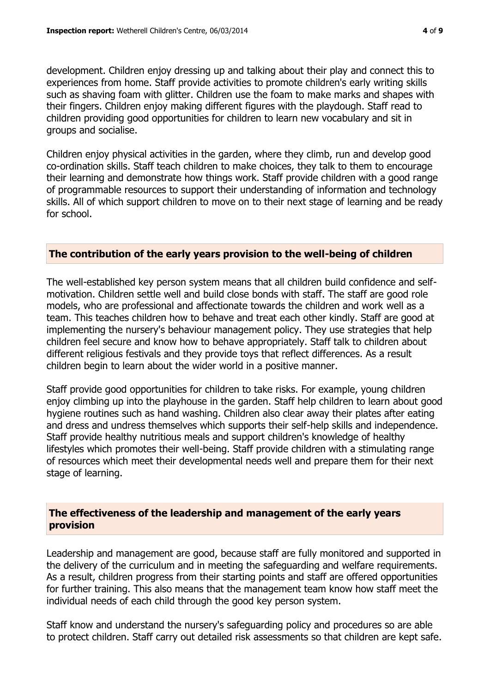development. Children enjoy dressing up and talking about their play and connect this to experiences from home. Staff provide activities to promote children's early writing skills such as shaving foam with glitter. Children use the foam to make marks and shapes with their fingers. Children enjoy making different figures with the playdough. Staff read to children providing good opportunities for children to learn new vocabulary and sit in groups and socialise.

Children enjoy physical activities in the garden, where they climb, run and develop good co-ordination skills. Staff teach children to make choices, they talk to them to encourage their learning and demonstrate how things work. Staff provide children with a good range of programmable resources to support their understanding of information and technology skills. All of which support children to move on to their next stage of learning and be ready for school.

#### **The contribution of the early years provision to the well-being of children**

The well-established key person system means that all children build confidence and selfmotivation. Children settle well and build close bonds with staff. The staff are good role models, who are professional and affectionate towards the children and work well as a team. This teaches children how to behave and treat each other kindly. Staff are good at implementing the nursery's behaviour management policy. They use strategies that help children feel secure and know how to behave appropriately. Staff talk to children about different religious festivals and they provide toys that reflect differences. As a result children begin to learn about the wider world in a positive manner.

Staff provide good opportunities for children to take risks. For example, young children enjoy climbing up into the playhouse in the garden. Staff help children to learn about good hygiene routines such as hand washing. Children also clear away their plates after eating and dress and undress themselves which supports their self-help skills and independence. Staff provide healthy nutritious meals and support children's knowledge of healthy lifestyles which promotes their well-being. Staff provide children with a stimulating range of resources which meet their developmental needs well and prepare them for their next stage of learning.

## **The effectiveness of the leadership and management of the early years provision**

Leadership and management are good, because staff are fully monitored and supported in the delivery of the curriculum and in meeting the safeguarding and welfare requirements. As a result, children progress from their starting points and staff are offered opportunities for further training. This also means that the management team know how staff meet the individual needs of each child through the good key person system.

Staff know and understand the nursery's safeguarding policy and procedures so are able to protect children. Staff carry out detailed risk assessments so that children are kept safe.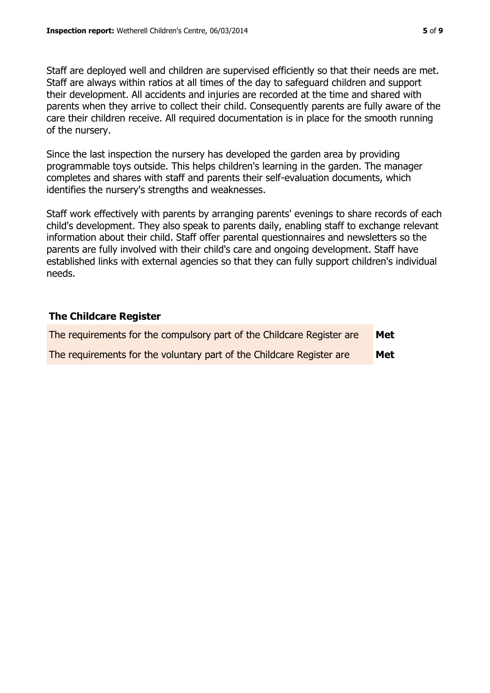Staff are deployed well and children are supervised efficiently so that their needs are met. Staff are always within ratios at all times of the day to safeguard children and support their development. All accidents and injuries are recorded at the time and shared with parents when they arrive to collect their child. Consequently parents are fully aware of the care their children receive. All required documentation is in place for the smooth running of the nursery.

Since the last inspection the nursery has developed the garden area by providing programmable toys outside. This helps children's learning in the garden. The manager completes and shares with staff and parents their self-evaluation documents, which identifies the nursery's strengths and weaknesses.

Staff work effectively with parents by arranging parents' evenings to share records of each child's development. They also speak to parents daily, enabling staff to exchange relevant information about their child. Staff offer parental questionnaires and newsletters so the parents are fully involved with their child's care and ongoing development. Staff have established links with external agencies so that they can fully support children's individual needs.

## **The Childcare Register**

| The requirements for the compulsory part of the Childcare Register are | Met |
|------------------------------------------------------------------------|-----|
| The requirements for the voluntary part of the Childcare Register are  | Met |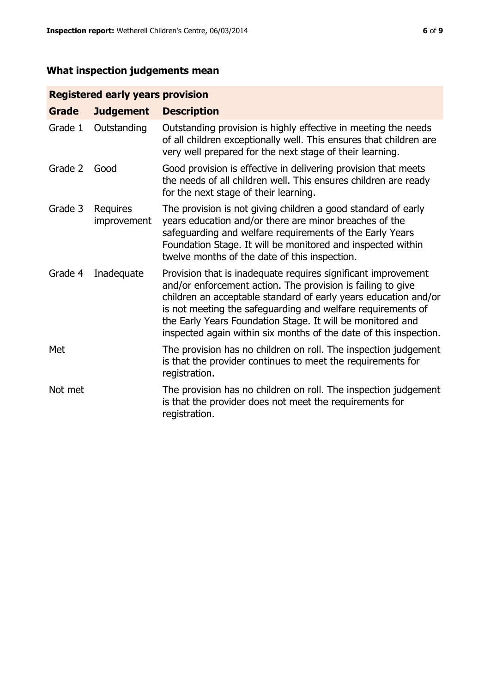# **What inspection judgements mean**

## **Registered early years provision**

| <b>Grade</b> | <b>Judgement</b>        | <b>Description</b>                                                                                                                                                                                                                                                                                                                                                                                |
|--------------|-------------------------|---------------------------------------------------------------------------------------------------------------------------------------------------------------------------------------------------------------------------------------------------------------------------------------------------------------------------------------------------------------------------------------------------|
| Grade 1      | Outstanding             | Outstanding provision is highly effective in meeting the needs<br>of all children exceptionally well. This ensures that children are<br>very well prepared for the next stage of their learning.                                                                                                                                                                                                  |
| Grade 2      | Good                    | Good provision is effective in delivering provision that meets<br>the needs of all children well. This ensures children are ready<br>for the next stage of their learning.                                                                                                                                                                                                                        |
| Grade 3      | Requires<br>improvement | The provision is not giving children a good standard of early<br>years education and/or there are minor breaches of the<br>safeguarding and welfare requirements of the Early Years<br>Foundation Stage. It will be monitored and inspected within<br>twelve months of the date of this inspection.                                                                                               |
| Grade 4      | Inadequate              | Provision that is inadequate requires significant improvement<br>and/or enforcement action. The provision is failing to give<br>children an acceptable standard of early years education and/or<br>is not meeting the safeguarding and welfare requirements of<br>the Early Years Foundation Stage. It will be monitored and<br>inspected again within six months of the date of this inspection. |
| Met          |                         | The provision has no children on roll. The inspection judgement<br>is that the provider continues to meet the requirements for<br>registration.                                                                                                                                                                                                                                                   |
| Not met      |                         | The provision has no children on roll. The inspection judgement<br>is that the provider does not meet the requirements for<br>registration.                                                                                                                                                                                                                                                       |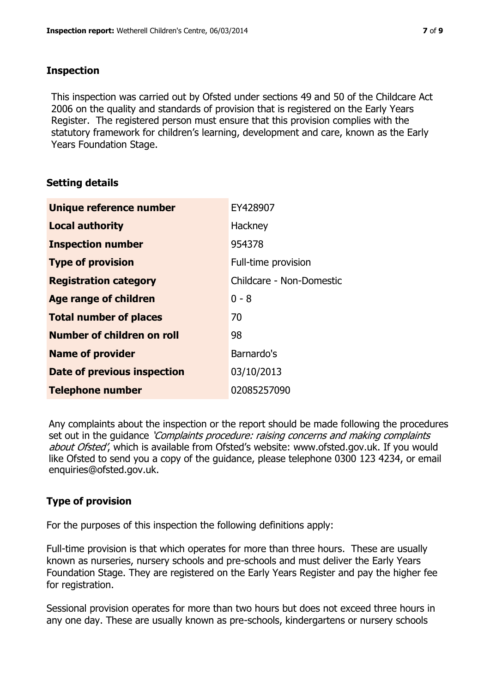## **Inspection**

This inspection was carried out by Ofsted under sections 49 and 50 of the Childcare Act 2006 on the quality and standards of provision that is registered on the Early Years Register. The registered person must ensure that this provision complies with the statutory framework for children's learning, development and care, known as the Early Years Foundation Stage.

## **Setting details**

| Unique reference number           | EY428907                 |
|-----------------------------------|--------------------------|
| <b>Local authority</b>            | Hackney                  |
| <b>Inspection number</b>          | 954378                   |
| <b>Type of provision</b>          | Full-time provision      |
| <b>Registration category</b>      | Childcare - Non-Domestic |
| <b>Age range of children</b>      | $0 - 8$                  |
| <b>Total number of places</b>     | 70                       |
| <b>Number of children on roll</b> | 98                       |
| <b>Name of provider</b>           | Barnardo's               |
| Date of previous inspection       | 03/10/2013               |
| <b>Telephone number</b>           | 02085257090              |

Any complaints about the inspection or the report should be made following the procedures set out in the guidance *'Complaints procedure: raising concerns and making complaints* about Ofsted', which is available from Ofsted's website: www.ofsted.gov.uk. If you would like Ofsted to send you a copy of the guidance, please telephone 0300 123 4234, or email enquiries@ofsted.gov.uk.

## **Type of provision**

For the purposes of this inspection the following definitions apply:

Full-time provision is that which operates for more than three hours. These are usually known as nurseries, nursery schools and pre-schools and must deliver the Early Years Foundation Stage. They are registered on the Early Years Register and pay the higher fee for registration.

Sessional provision operates for more than two hours but does not exceed three hours in any one day. These are usually known as pre-schools, kindergartens or nursery schools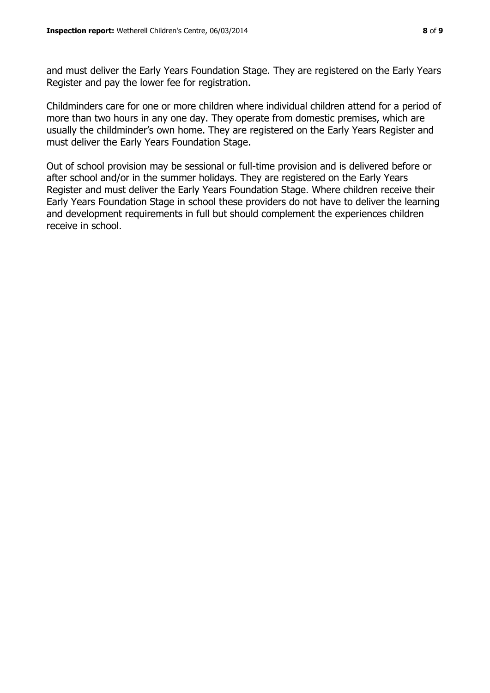and must deliver the Early Years Foundation Stage. They are registered on the Early Years Register and pay the lower fee for registration.

Childminders care for one or more children where individual children attend for a period of more than two hours in any one day. They operate from domestic premises, which are usually the childminder's own home. They are registered on the Early Years Register and must deliver the Early Years Foundation Stage.

Out of school provision may be sessional or full-time provision and is delivered before or after school and/or in the summer holidays. They are registered on the Early Years Register and must deliver the Early Years Foundation Stage. Where children receive their Early Years Foundation Stage in school these providers do not have to deliver the learning and development requirements in full but should complement the experiences children receive in school.